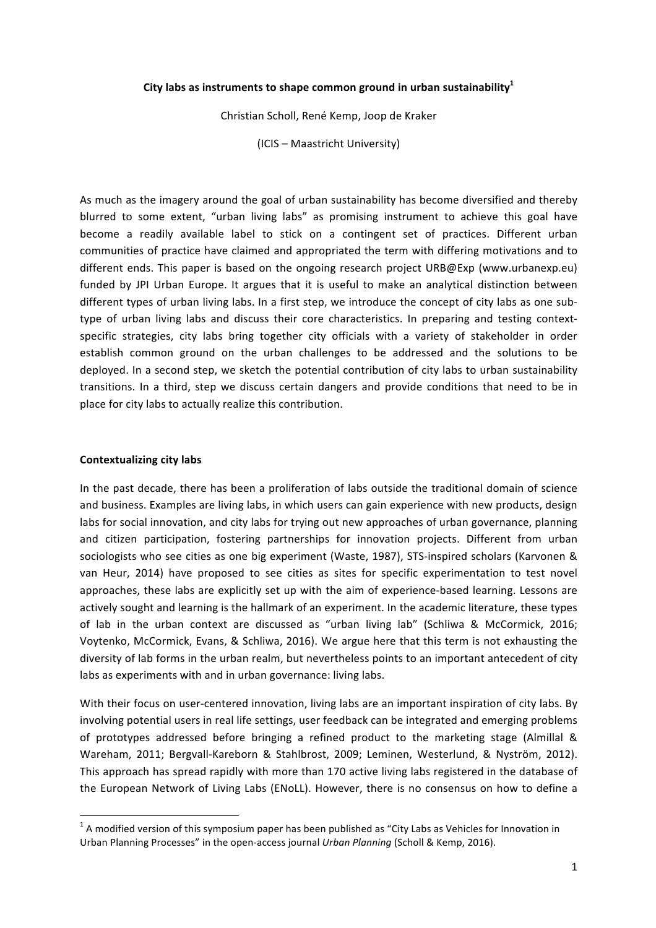## City labs as instruments to shape common ground in urban sustainability<sup>1</sup>

Christian Scholl, René Kemp, Joop de Kraker

(ICIS – Maastricht University)

As much as the imagery around the goal of urban sustainability has become diversified and thereby blurred to some extent, "urban living labs" as promising instrument to achieve this goal have become a readily available label to stick on a contingent set of practices. Different urban communities of practice have claimed and appropriated the term with differing motivations and to different ends. This paper is based on the ongoing research project URB@Exp (www.urbanexp.eu) funded by JPI Urban Europe. It argues that it is useful to make an analytical distinction between different types of urban living labs. In a first step, we introduce the concept of city labs as one subtype of urban living labs and discuss their core characteristics. In preparing and testing contextspecific strategies, city labs bring together city officials with a variety of stakeholder in order establish common ground on the urban challenges to be addressed and the solutions to be deployed. In a second step, we sketch the potential contribution of city labs to urban sustainability transitions. In a third, step we discuss certain dangers and provide conditions that need to be in place for city labs to actually realize this contribution.

### **Contextualizing city labs**

<u> 1989 - Johann Barn, mars ann an t-Amhain an t-Amhain an t-Amhain an t-Amhain an t-Amhain an t-Amhain an t-Amh</u>

In the past decade, there has been a proliferation of labs outside the traditional domain of science and business. Examples are living labs, in which users can gain experience with new products, design labs for social innovation, and city labs for trying out new approaches of urban governance, planning and citizen participation, fostering partnerships for innovation projects. Different from urban sociologists who see cities as one big experiment (Waste, 1987), STS-inspired scholars (Karvonen & van Heur, 2014) have proposed to see cities as sites for specific experimentation to test novel approaches, these labs are explicitly set up with the aim of experience-based learning. Lessons are actively sought and learning is the hallmark of an experiment. In the academic literature, these types of lab in the urban context are discussed as "urban living lab" (Schliwa & McCormick, 2016; Voytenko, McCormick, Evans, & Schliwa, 2016). We argue here that this term is not exhausting the diversity of lab forms in the urban realm, but nevertheless points to an important antecedent of city labs as experiments with and in urban governance: living labs.

With their focus on user-centered innovation, living labs are an important inspiration of city labs. By involving potential users in real life settings, user feedback can be integrated and emerging problems of prototypes addressed before bringing a refined product to the marketing stage (Almillal & Wareham, 2011; Bergvall-Kareborn & Stahlbrost, 2009; Leminen, Westerlund, & Nyström, 2012). This approach has spread rapidly with more than 170 active living labs registered in the database of the European Network of Living Labs (ENoLL). However, there is no consensus on how to define a

 $1$  A modified version of this symposium paper has been published as "City Labs as Vehicles for Innovation in Urban Planning Processes" in the open-access journal *Urban Planning* (Scholl & Kemp, 2016).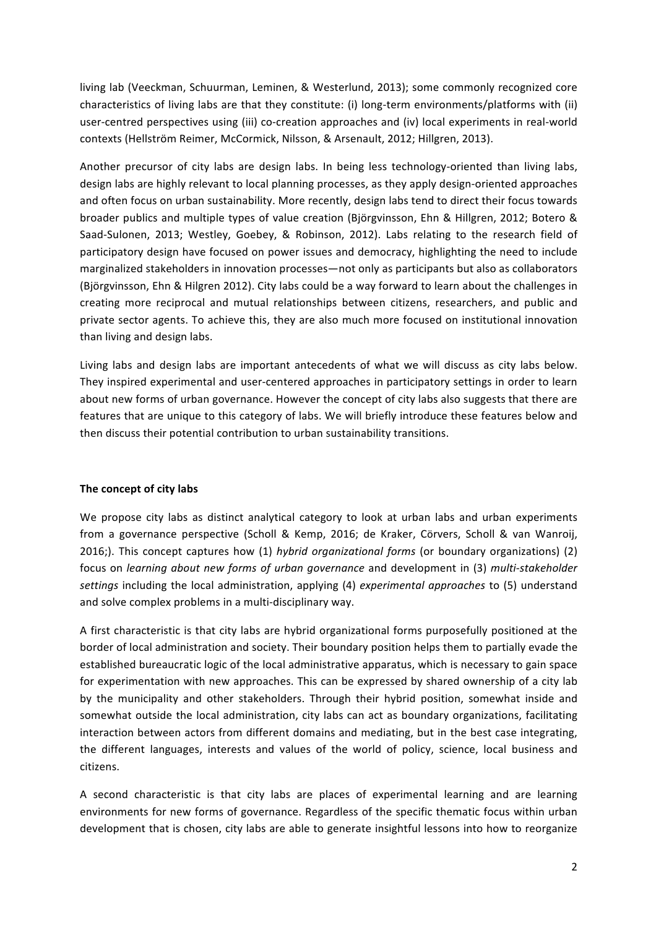living lab (Veeckman, Schuurman, Leminen, & Westerlund, 2013); some commonly recognized core characteristics of living labs are that they constitute: (i) long-term environments/platforms with (ii) user-centred perspectives using (iii) co-creation approaches and (iv) local experiments in real-world contexts (Hellström Reimer, McCormick, Nilsson, & Arsenault, 2012; Hillgren, 2013).

Another precursor of city labs are design labs. In being less technology-oriented than living labs. design labs are highly relevant to local planning processes, as they apply design-oriented approaches and often focus on urban sustainability. More recently, design labs tend to direct their focus towards broader publics and multiple types of value creation (Björgvinsson, Ehn & Hillgren, 2012; Botero & Saad-Sulonen, 2013; Westley, Goebey, & Robinson, 2012). Labs relating to the research field of participatory design have focused on power issues and democracy, highlighting the need to include marginalized stakeholders in innovation processes—not only as participants but also as collaborators (Björgvinsson, Ehn & Hilgren 2012). City labs could be a way forward to learn about the challenges in creating more reciprocal and mutual relationships between citizens, researchers, and public and private sector agents. To achieve this, they are also much more focused on institutional innovation than living and design labs.

Living labs and design labs are important antecedents of what we will discuss as city labs below. They inspired experimental and user-centered approaches in participatory settings in order to learn about new forms of urban governance. However the concept of city labs also suggests that there are features that are unique to this category of labs. We will briefly introduce these features below and then discuss their potential contribution to urban sustainability transitions.

# The concept of city labs

We propose city labs as distinct analytical category to look at urban labs and urban experiments from a governance perspective (Scholl & Kemp, 2016; de Kraker, Cörvers, Scholl & van Wanroij, 2016;). This concept captures how (1) *hybrid organizational forms* (or boundary organizations) (2) focus on *learning about new forms of urban governance* and development in (3) *multi-stakeholder* settings including the local administration, applying (4) experimental approaches to (5) understand and solve complex problems in a multi-disciplinary way.

A first characteristic is that city labs are hybrid organizational forms purposefully positioned at the border of local administration and society. Their boundary position helps them to partially evade the established bureaucratic logic of the local administrative apparatus, which is necessary to gain space for experimentation with new approaches. This can be expressed by shared ownership of a city lab by the municipality and other stakeholders. Through their hybrid position, somewhat inside and somewhat outside the local administration, city labs can act as boundary organizations, facilitating interaction between actors from different domains and mediating, but in the best case integrating, the different languages, interests and values of the world of policy, science, local business and citizens.

A second characteristic is that city labs are places of experimental learning and are learning environments for new forms of governance. Regardless of the specific thematic focus within urban development that is chosen, city labs are able to generate insightful lessons into how to reorganize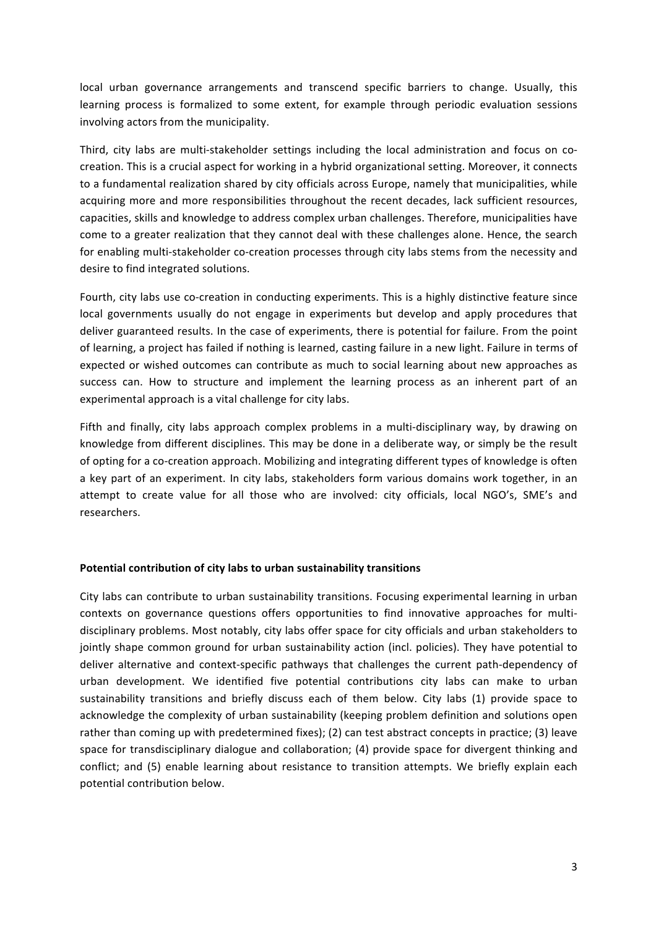local urban governance arrangements and transcend specific barriers to change. Usually, this learning process is formalized to some extent, for example through periodic evaluation sessions involving actors from the municipality.

Third, city labs are multi-stakeholder settings including the local administration and focus on cocreation. This is a crucial aspect for working in a hybrid organizational setting. Moreover, it connects to a fundamental realization shared by city officials across Europe, namely that municipalities, while acquiring more and more responsibilities throughout the recent decades, lack sufficient resources, capacities, skills and knowledge to address complex urban challenges. Therefore, municipalities have come to a greater realization that they cannot deal with these challenges alone. Hence, the search for enabling multi-stakeholder co-creation processes through city labs stems from the necessity and desire to find integrated solutions.

Fourth, city labs use co-creation in conducting experiments. This is a highly distinctive feature since local governments usually do not engage in experiments but develop and apply procedures that deliver guaranteed results. In the case of experiments, there is potential for failure. From the point of learning, a project has failed if nothing is learned, casting failure in a new light. Failure in terms of expected or wished outcomes can contribute as much to social learning about new approaches as success can. How to structure and implement the learning process as an inherent part of an experimental approach is a vital challenge for city labs.

Fifth and finally, city labs approach complex problems in a multi-disciplinary way, by drawing on knowledge from different disciplines. This may be done in a deliberate way, or simply be the result of opting for a co-creation approach. Mobilizing and integrating different types of knowledge is often a key part of an experiment. In city labs, stakeholders form various domains work together, in an attempt to create value for all those who are involved: city officials, local NGO's, SME's and researchers.

#### Potential contribution of city labs to urban sustainability transitions

City labs can contribute to urban sustainability transitions. Focusing experimental learning in urban contexts on governance questions offers opportunities to find innovative approaches for multidisciplinary problems. Most notably, city labs offer space for city officials and urban stakeholders to jointly shape common ground for urban sustainability action (incl. policies). They have potential to deliver alternative and context-specific pathways that challenges the current path-dependency of urban development. We identified five potential contributions city labs can make to urban sustainability transitions and briefly discuss each of them below. City labs (1) provide space to acknowledge the complexity of urban sustainability (keeping problem definition and solutions open rather than coming up with predetermined fixes); (2) can test abstract concepts in practice; (3) leave space for transdisciplinary dialogue and collaboration; (4) provide space for divergent thinking and conflict; and (5) enable learning about resistance to transition attempts. We briefly explain each potential contribution below.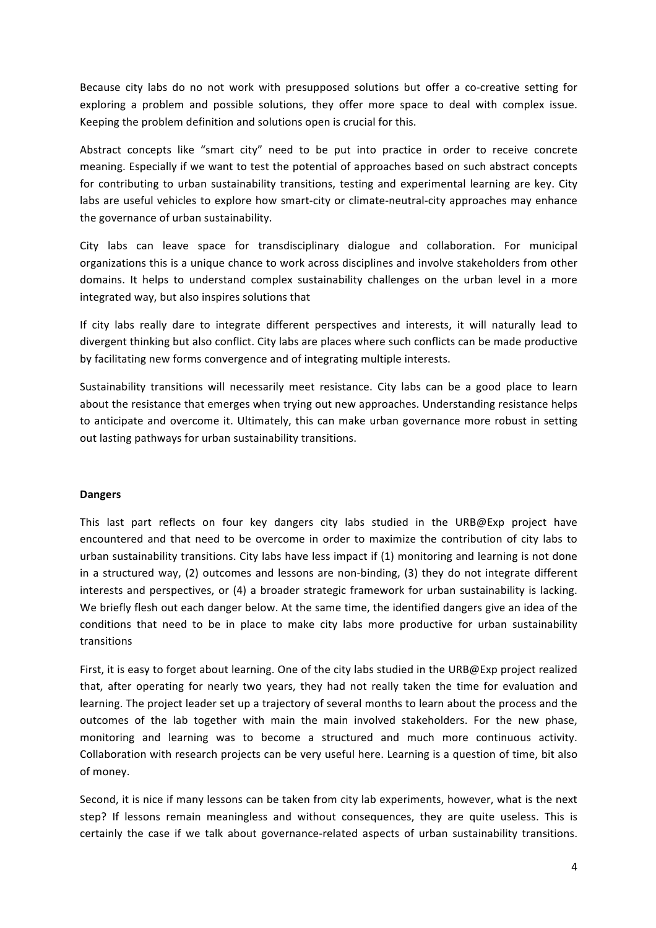Because city labs do no not work with presupposed solutions but offer a co-creative setting for exploring a problem and possible solutions, they offer more space to deal with complex issue. Keeping the problem definition and solutions open is crucial for this.

Abstract concepts like "smart city" need to be put into practice in order to receive concrete meaning. Especially if we want to test the potential of approaches based on such abstract concepts for contributing to urban sustainability transitions, testing and experimental learning are key. City labs are useful vehicles to explore how smart-city or climate-neutral-city approaches may enhance the governance of urban sustainability.

City labs can leave space for transdisciplinary dialogue and collaboration. For municipal organizations this is a unique chance to work across disciplines and involve stakeholders from other domains. It helps to understand complex sustainability challenges on the urban level in a more integrated way, but also inspires solutions that

If city labs really dare to integrate different perspectives and interests, it will naturally lead to divergent thinking but also conflict. City labs are places where such conflicts can be made productive by facilitating new forms convergence and of integrating multiple interests.

Sustainability transitions will necessarily meet resistance. City labs can be a good place to learn about the resistance that emerges when trying out new approaches. Understanding resistance helps to anticipate and overcome it. Ultimately, this can make urban governance more robust in setting out lasting pathways for urban sustainability transitions.

# **Dangers**

This last part reflects on four key dangers city labs studied in the URB@Exp project have encountered and that need to be overcome in order to maximize the contribution of city labs to urban sustainability transitions. City labs have less impact if  $(1)$  monitoring and learning is not done in a structured way,  $(2)$  outcomes and lessons are non-binding,  $(3)$  they do not integrate different interests and perspectives, or  $(4)$  a broader strategic framework for urban sustainability is lacking. We briefly flesh out each danger below. At the same time, the identified dangers give an idea of the conditions that need to be in place to make city labs more productive for urban sustainability transitions

First, it is easy to forget about learning. One of the city labs studied in the URB@Exp project realized that, after operating for nearly two years, they had not really taken the time for evaluation and learning. The project leader set up a trajectory of several months to learn about the process and the outcomes of the lab together with main the main involved stakeholders. For the new phase, monitoring and learning was to become a structured and much more continuous activity. Collaboration with research projects can be very useful here. Learning is a question of time, bit also of money.

Second, it is nice if many lessons can be taken from city lab experiments, however, what is the next step? If lessons remain meaningless and without consequences, they are quite useless. This is certainly the case if we talk about governance-related aspects of urban sustainability transitions.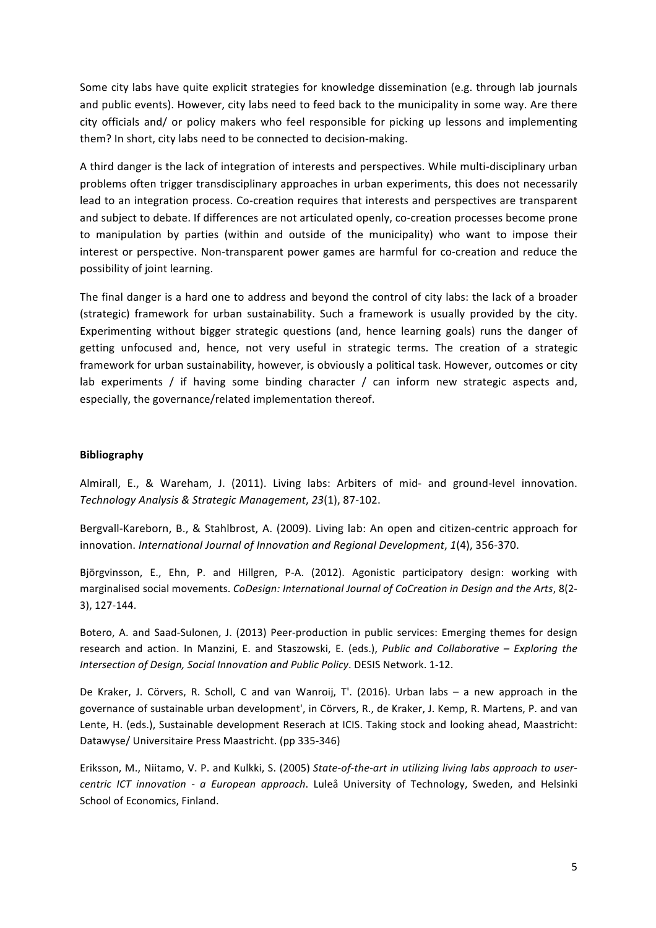Some city labs have quite explicit strategies for knowledge dissemination (e.g. through lab journals and public events). However, city labs need to feed back to the municipality in some way. Are there city officials and/ or policy makers who feel responsible for picking up lessons and implementing them? In short, city labs need to be connected to decision-making.

A third danger is the lack of integration of interests and perspectives. While multi-disciplinary urban problems often trigger transdisciplinary approaches in urban experiments, this does not necessarily lead to an integration process. Co-creation requires that interests and perspectives are transparent and subject to debate. If differences are not articulated openly, co-creation processes become prone to manipulation by parties (within and outside of the municipality) who want to impose their interest or perspective. Non-transparent power games are harmful for co-creation and reduce the possibility of joint learning.

The final danger is a hard one to address and beyond the control of city labs: the lack of a broader (strategic) framework for urban sustainability. Such a framework is usually provided by the city. Experimenting without bigger strategic questions (and, hence learning goals) runs the danger of getting unfocused and, hence, not very useful in strategic terms. The creation of a strategic framework for urban sustainability, however, is obviously a political task. However, outcomes or city lab experiments / if having some binding character / can inform new strategic aspects and, especially, the governance/related implementation thereof.

## **Bibliography**

Almirall, E., & Wareham, J. (2011). Living labs: Arbiters of mid- and ground-level innovation. *Technology Analysis & Strategic Management*, *23*(1), 87-102.

Bergvall-Kareborn, B., & Stahlbrost, A. (2009). Living lab: An open and citizen-centric approach for innovation. *International Journal of Innovation and Regional Development*, 1(4), 356-370.

Björgvinsson, E., Ehn, P. and Hillgren, P-A. (2012). Agonistic participatory design: working with marginalised social movements. *CoDesign: International Journal of CoCreation in Design and the Arts*, 8(2-3), 127-144.

Botero, A. and Saad-Sulonen, J. (2013) Peer-production in public services: Emerging themes for design research and action. In Manzini, E. and Staszowski, E. (eds.), *Public and Collaborative - Exploring the Intersection of Design, Social Innovation and Public Policy.* DESIS Network. 1-12.

De Kraker, J. Cörvers, R. Scholl, C and van Wanroij, T'. (2016). Urban labs  $-$  a new approach in the governance of sustainable urban development', in Cörvers, R., de Kraker, J. Kemp, R. Martens, P. and van Lente, H. (eds.), Sustainable development Reserach at ICIS. Taking stock and looking ahead, Maastricht: Datawyse/ Universitaire Press Maastricht. (pp 335-346)

Eriksson, M., Niitamo, V. P. and Kulkki, S. (2005) State-of-the-art in utilizing living labs approach to user*centric ICT innovation - a European approach*. Luleå University of Technology, Sweden, and Helsinki School of Economics, Finland.